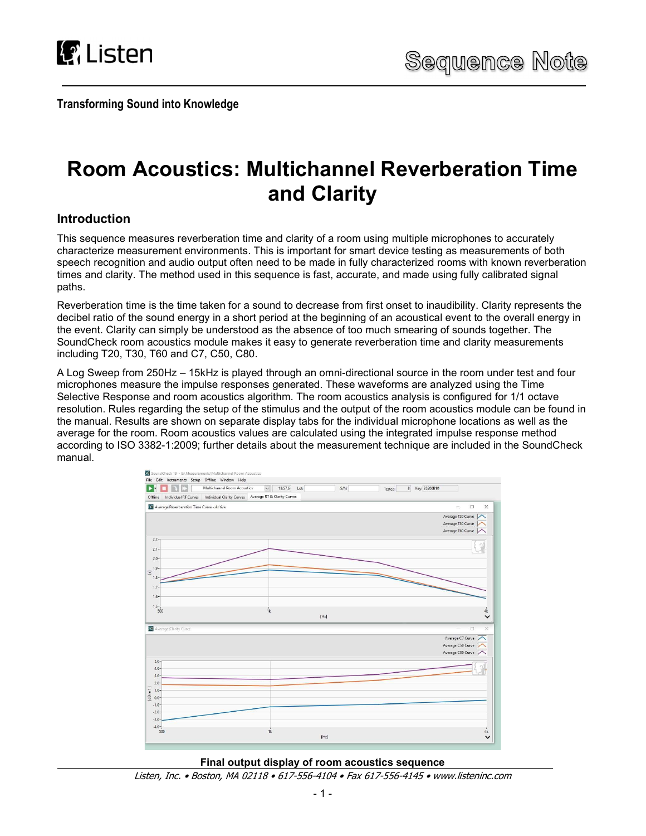

Transforming Sound into Knowledge

# Room Acoustics: Multichannel Reverberation Time and Clarity

## Introduction

This sequence measures reverberation time and clarity of a room using multiple microphones to accurately characterize measurement environments. This is important for smart device testing as measurements of both speech recognition and audio output often need to be made in fully characterized rooms with known reverberation times and clarity. The method used in this sequence is fast, accurate, and made using fully calibrated signal paths.

Reverberation time is the time taken for a sound to decrease from first onset to inaudibility. Clarity represents the decibel ratio of the sound energy in a short period at the beginning of an acoustical event to the overall energy in the event. Clarity can simply be understood as the absence of too much smearing of sounds together. The SoundCheck room acoustics module makes it easy to generate reverberation time and clarity measurements including T20, T30, T60 and C7, C50, C80.

A Log Sweep from 250Hz – 15kHz is played through an omni-directional source in the room under test and four microphones measure the impulse responses generated. These waveforms are analyzed using the Time Selective Response and room acoustics algorithm. The room acoustics analysis is configured for 1/1 octave resolution. Rules regarding the setup of the stimulus and the output of the room acoustics module can be found in the manual. Results are shown on separate display tabs for the individual microphone locations as well as the average for the room. Room acoustics values are calculated using the integrated impulse response method according to ISO 3382-1:2009; further details about the measurement technique are included in the SoundCheck manual.





Listen, Inc. • Boston, MA 02118 • 617-556-4104 • Fax 617-556-4145 • www.listeninc.com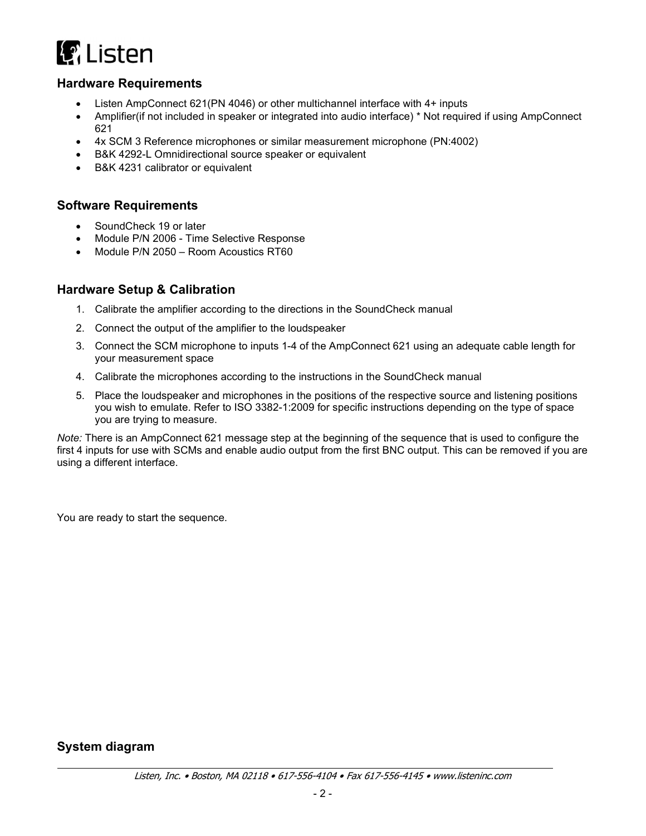

#### Hardware Requirements

- Listen AmpConnect 621(PN 4046) or other multichannel interface with 4+ inputs
- Amplifier(if not included in speaker or integrated into audio interface) \* Not required if using AmpConnect 621
- 4x SCM 3 Reference microphones or similar measurement microphone (PN:4002)
- B&K 4292-L Omnidirectional source speaker or equivalent
- B&K 4231 calibrator or equivalent

#### Software Requirements

- SoundCheck 19 or later
- Module P/N 2006 Time Selective Response
- Module P/N 2050 Room Acoustics RT60

#### Hardware Setup & Calibration

- 1. Calibrate the amplifier according to the directions in the SoundCheck manual
- 2. Connect the output of the amplifier to the loudspeaker
- 3. Connect the SCM microphone to inputs 1-4 of the AmpConnect 621 using an adequate cable length for your measurement space
- 4. Calibrate the microphones according to the instructions in the SoundCheck manual
- 5. Place the loudspeaker and microphones in the positions of the respective source and listening positions you wish to emulate. Refer to ISO 3382-1:2009 for specific instructions depending on the type of space you are trying to measure.

Note: There is an AmpConnect 621 message step at the beginning of the sequence that is used to configure the first 4 inputs for use with SCMs and enable audio output from the first BNC output. This can be removed if you are using a different interface.

You are ready to start the sequence.

#### System diagram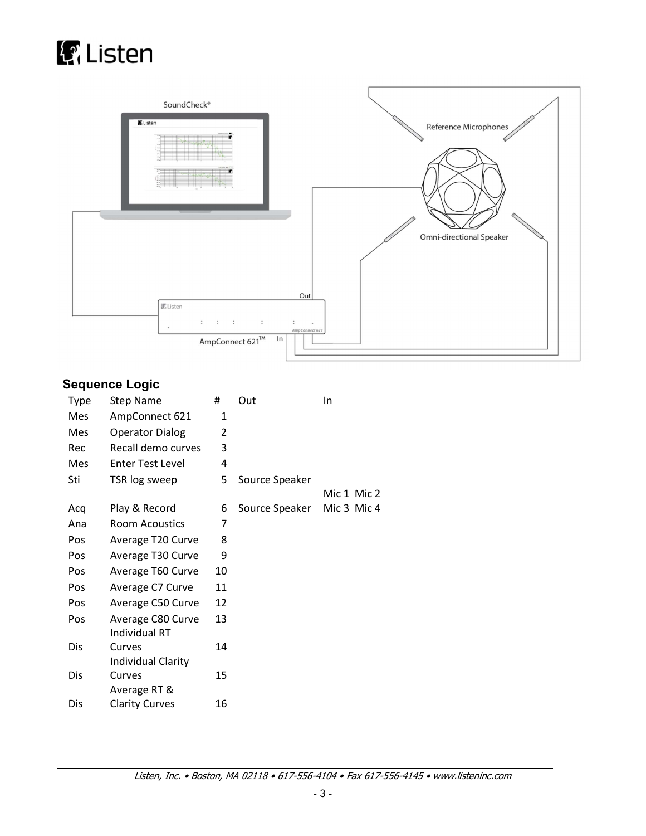



# Sequence Logic

| <b>Type</b> | <b>Step Name</b>                          | #  | Out            | In          |
|-------------|-------------------------------------------|----|----------------|-------------|
| Mes         | AmpConnect 621                            | 1  |                |             |
| Mes         | <b>Operator Dialog</b>                    | 2  |                |             |
| Rec         | Recall demo curves                        | 3  |                |             |
| Mes         | <b>Enter Test Level</b>                   | 4  |                |             |
| Sti         | TSR log sweep                             | 5  | Source Speaker |             |
|             |                                           |    |                | Mic 1 Mic 2 |
| Acq         | Play & Record                             | 6  | Source Speaker | Mic 3 Mic 4 |
| Ana         | <b>Room Acoustics</b>                     | 7  |                |             |
| Pos         | Average T20 Curve                         | 8  |                |             |
| Pos         | Average T30 Curve                         | 9  |                |             |
| Pos         | Average T60 Curve                         | 10 |                |             |
| Pos         | Average C7 Curve                          | 11 |                |             |
| Pos         | Average C50 Curve                         | 12 |                |             |
| Pos         | Average C80 Curve<br><b>Individual RT</b> | 13 |                |             |
| Dis         | Curves                                    | 14 |                |             |
|             | <b>Individual Clarity</b>                 |    |                |             |
| Dis         | Curves<br>Average RT &                    | 15 |                |             |
| Dis         | <b>Clarity Curves</b>                     | 16 |                |             |